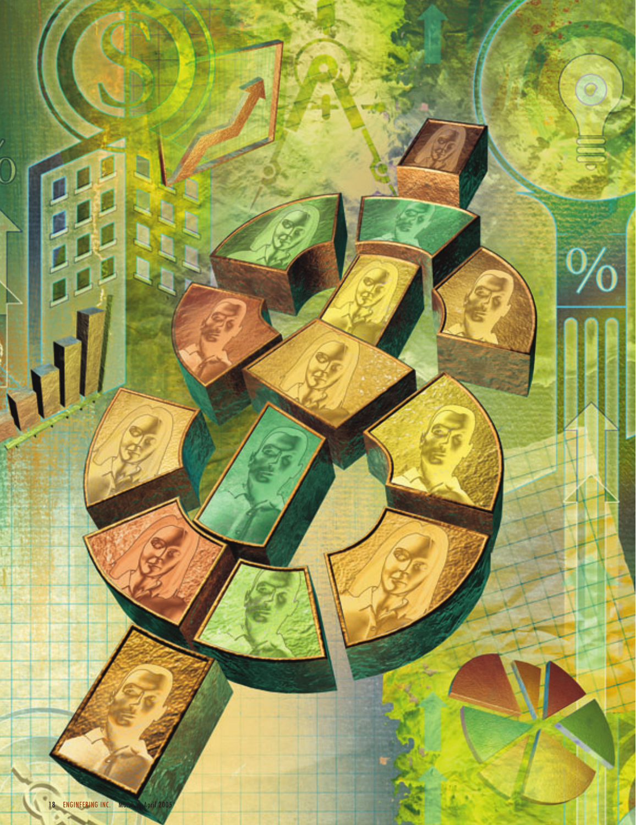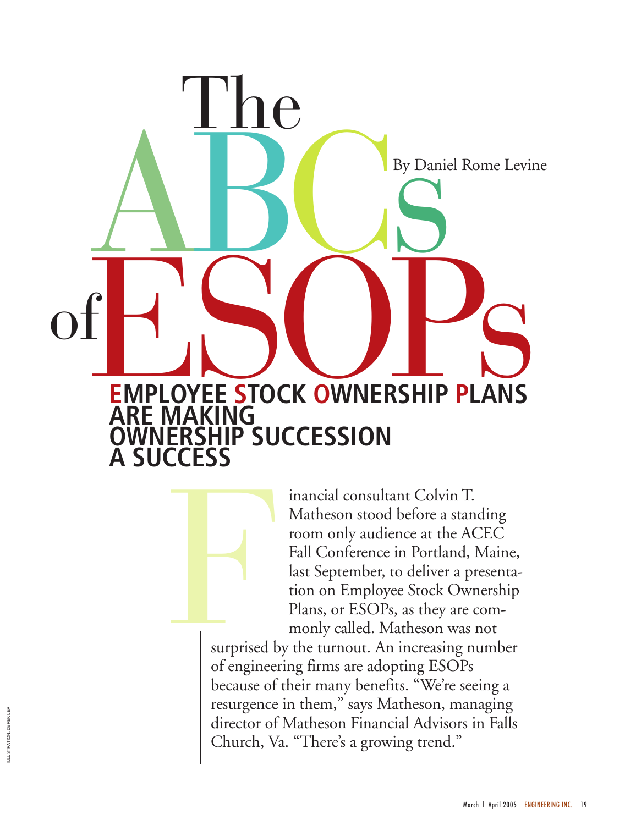

inancial consultant Colvin T. Matheson stood before a standing room only audience at the ACEC Fall Conference in Portland, Maine, last September, to deliver a presentation on Employee Stock Ownership Plans, or ESOPs, as they are commonly called. Matheson was not

surprised by the turnout. An increasing number of engineering firms are adopting ESOPs because of their many benefits. "We're seeing a resurgence in them," says Matheson, managing director of Matheson Financial Advisors in Falls Church, Va. "There's a growing trend." Surprised by<br>
Surprised by<br>
of engineer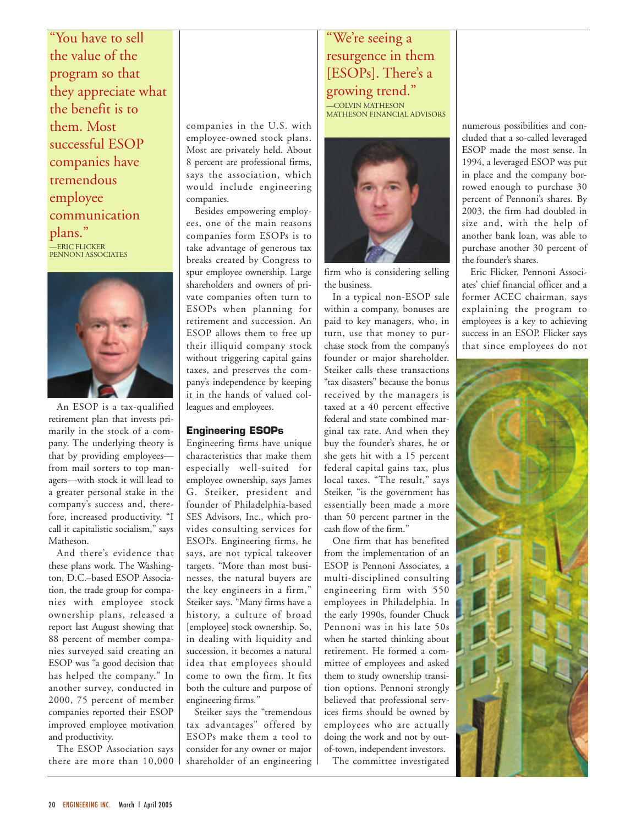"You have to sell the value of the program so that they appreciate what the benefit is to them. Most successful ESOP companies have tremendous employee communication plans." —ERIC FLICKER PENNONI ASSOCIATES



An ESOP is a tax-qualified retirement plan that invests primarily in the stock of a company. The underlying theory is that by providing employees from mail sorters to top managers—with stock it will lead to a greater personal stake in the company's success and, therefore, increased productivity. "I call it capitalistic socialism," says Matheson.

And there's evidence that these plans work. The Washington, D.C.–based ESOP Association, the trade group for companies with employee stock ownership plans, released a report last August showing that 88 percent of member companies surveyed said creating an ESOP was "a good decision that has helped the company." In another survey, conducted in 2000, 75 percent of member companies reported their ESOP improved employee motivation and productivity.

The ESOP Association says there are more than 10,000 companies in the U.S. with employee-owned stock plans. Most are privately held. About 8 percent are professional firms, says the association, which would include engineering companies.

Besides empowering employees, one of the main reasons companies form ESOPs is to take advantage of generous tax breaks created by Congress to spur employee ownership. Large shareholders and owners of private companies often turn to ESOPs when planning for retirement and succession. An ESOP allows them to free up their illiquid company stock without triggering capital gains taxes, and preserves the company's independence by keeping it in the hands of valued colleagues and employees.

## **Engineering ESOPs**

Engineering firms have unique characteristics that make them especially well-suited for employee ownership, says James G. Steiker, president and founder of Philadelphia-based SES Advisors, Inc., which provides consulting services for ESOPs. Engineering firms, he says, are not typical takeover targets. "More than most businesses, the natural buyers are the key engineers in a firm," Steiker says. "Many firms have a history, a culture of broad [employee] stock ownership. So, in dealing with liquidity and succession, it becomes a natural idea that employees should come to own the firm. It fits both the culture and purpose of engineering firms."

Steiker says the "tremendous tax advantages" offered by ESOPs make them a tool to consider for any owner or major shareholder of an engineering

"We're seeing a resurgence in them [ESOPs]. There's a growing trend." —COLVIN MATHESON MATHESON FINANCIAL ADVISORS



firm who is considering selling the business.

In a typical non-ESOP sale within a company, bonuses are paid to key managers, who, in turn, use that money to purchase stock from the company's founder or major shareholder. Steiker calls these transactions "tax disasters" because the bonus received by the managers is taxed at a 40 percent effective federal and state combined marginal tax rate. And when they buy the founder's shares, he or she gets hit with a 15 percent federal capital gains tax, plus local taxes. "The result," says Steiker, "is the government has essentially been made a more than 50 percent partner in the cash flow of the firm."

One firm that has benefited from the implementation of an ESOP is Pennoni Associates, a multi-disciplined consulting engineering firm with 550 employees in Philadelphia. In the early 1990s, founder Chuck Pennoni was in his late 50s when he started thinking about retirement. He formed a committee of employees and asked them to study ownership transition options. Pennoni strongly believed that professional services firms should be owned by employees who are actually doing the work and not by outof-town, independent investors.

The committee investigated

numerous possibilities and concluded that a so-called leveraged ESOP made the most sense. In 1994, a leveraged ESOP was put in place and the company borrowed enough to purchase 30 percent of Pennoni's shares. By 2003, the firm had doubled in size and, with the help of another bank loan, was able to purchase another 30 percent of the founder's shares.

Eric Flicker, Pennoni Associates' chief financial officer and a former ACEC chairman, says explaining the program to employees is a key to achieving success in an ESOP. Flicker says that since employees do not